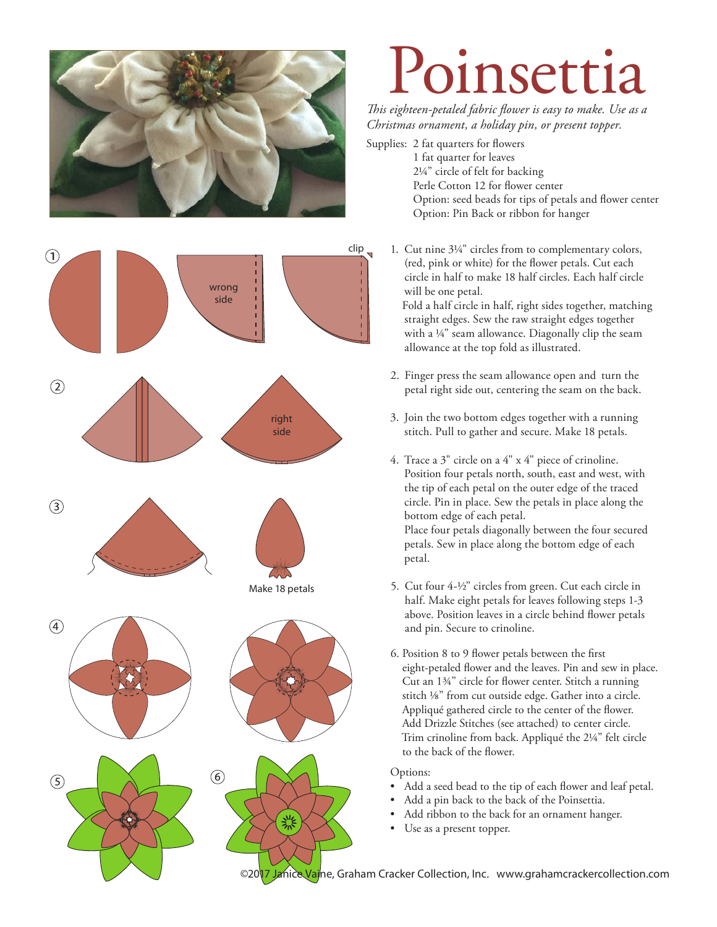



## Poinsettia

*This eighteen-petaled fabric flower is easy to make. Use as a Christmas ornament, a holiday pin, or present topper.* 

Supplies: 2 fat quarters for flowers

 1 fat quarter for leaves 21/4" circle of felt for backing Perle Cotton 12 for flower center Option: seed beads for tips of petals and flower center Option: Pin Back or ribbon for hanger

1. Cut nine 3¼" circles from to complementary colors, (red, pink or white) for the flower petals. Cut each circle in half to make 18 half circles. Each half circle will be one petal.

 Fold a half circle in half, right sides together, matching straight edges. Sew the raw straight edges together with a 1/4" seam allowance. Diagonally clip the seam allowance at the top fold as illustrated.

- 2. Finger press the seam allowance open and turn the petal right side out, centering the seam on the back.
- 3. Join the two bottom edges together with a running stitch. Pull to gather and secure. Make 18 petals.
- 4. Trace a 3" circle on a 4" x 4" piece of crinoline. Position four petals north, south, east and west, with the tip of each petal on the outer edge of the traced circle. Pin in place. Sew the petals in place along the bottom edge of each petal. Place four petals diagonally between the four secured petals. Sew in place along the bottom edge of each petal.
- 5. Cut four 4-1/2" circles from green. Cut each circle in half. Make eight petals for leaves following steps 1-3 above. Position leaves in a circle behind flower petals and pin. Secure to crinoline.
- 6. Position 8 to 9 flower petals between the first eight-petaled flower and the leaves. Pin and sew in place. Cut an 13/4" circle for flower center. Stitch a running stitch 1/8" from cut outside edge. Gather into a circle. Appliqué gathered circle to the center of the flower. Add Drizzle Stitches (see attached) to center circle. Trim crinoline from back. Appliqué the 21/4" felt circle to the back of the flower.

Options:

- Add a seed bead to the tip of each flower and leaf petal.
- Add a pin back to the back of the Poinsettia.
- Add ribbon to the back for an ornament hanger.
- Use as a present topper.

©2017 Janice Vaine, Graham Cracker Collection, Inc. www.grahamcrackercollection.com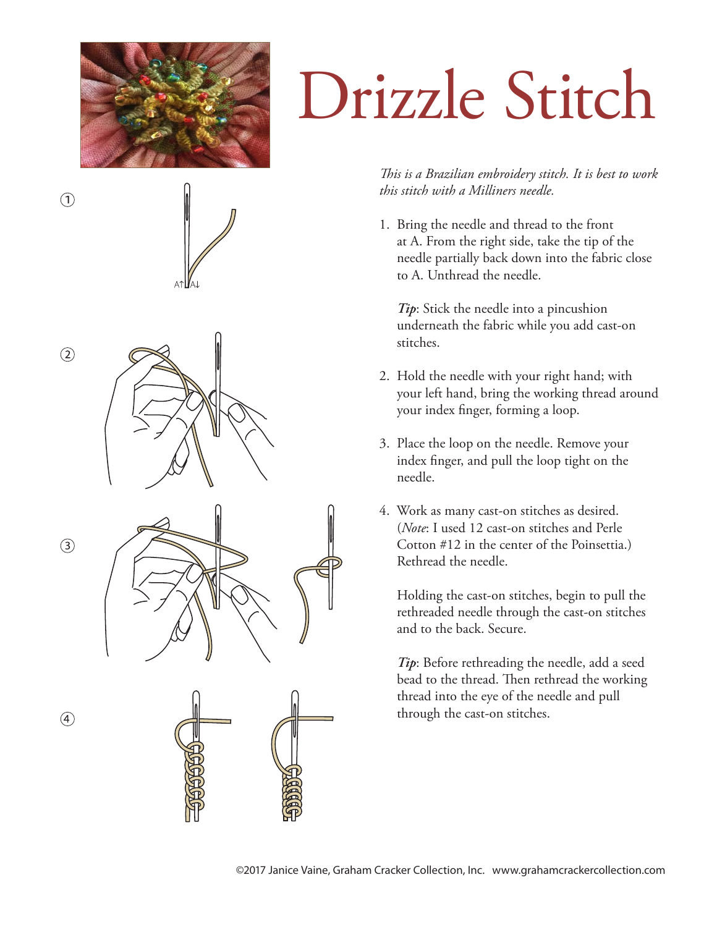

 $\left( \widehat{\mathbf{1}}\right)$ 





 $\circled{4}$ 

## Drizzle Stitch

## *This is a Brazilian embroidery stitch. It is best to work this stitch with a Milliners needle.*

1. Bring the needle and thread to the front at A. From the right side, take the tip of the needle partially back down into the fabric close to A. Unthread the needle.

 *Tip*: Stick the needle into a pincushion underneath the fabric while you add cast-on stitches.

- 2. Hold the needle with your right hand; with your left hand, bring the working thread around your index finger, forming a loop.
- 3. Place the loop on the needle. Remove your index finger, and pull the loop tight on the needle.
- 4. Work as many cast-on stitches as desired. (*Note*: I used 12 cast-on stitches and Perle Cotton #12 in the center of the Poinsettia.) Rethread the needle.

 Holding the cast-on stitches, begin to pull the rethreaded needle through the cast-on stitches and to the back. Secure.

 *Tip*: Before rethreading the needle, add a seed bead to the thread. Then rethread the working thread into the eye of the needle and pull through the cast-on stitches.